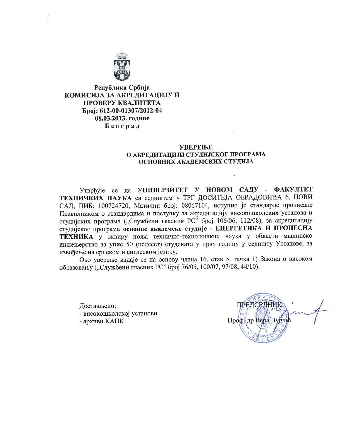

Република Србија КОМИСИЈА ЗА АКРЕДИТАЦИЈУ И ПРОВЕРУ КВАЛИТЕТА Epoi: 612-00-01307/2012-04 08.03.2013. године Београд

### **УВЕРЕЊЕ** О АКРЕДИТАЦИЈИ СТУДИЈСКОГ ПРОГРАМА ОСНОВНИХ АКАДЕМСКИХ СТУДИЈА

Утврђује се да УНИВЕРЗИТЕТ У НОВОМ САДУ - ФАКУЛТЕТ ТЕХНИЧКИХ НАУКА са седиштем у ТРГ ДОСИТЕЈА ОБРАДОВИЋА 6, НОВИ САД, ПИБ: 100724720, Матични број: 08067104, испунио је стандарде прописане Правилником о стандардима и поступку за акредитацију високошколских установа и студијских програма ("Службени гласник РС" број 106/06, 112/08), за акредитацију студијског програма основне академске студије - ЕНЕРГЕТИКА И ПРОЦЕСНА ТЕХНИКА у оквиру поља техничко-технолошких наука у области машинско инжењерство за упис 50 (педесет) студената у прву годину у седишту Установе, за извођење на српском и енглеском језику.

Ово уверење издаје се на основу члана 16. став 5. тачка 1) Закона о високом образовању ("Службени гласник РС" број 76/05, 100/07, 97/08, 44/10).

Достављено:

- високошколској установи

- архиви КАПК

**ПРЕЛСЕЛНИК** Профадр Вера Вујчић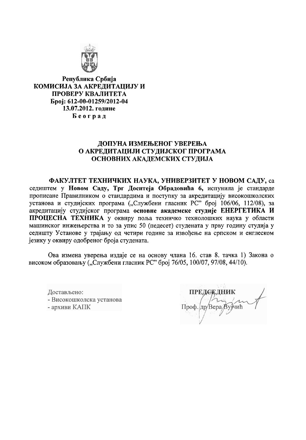

Република Србија КОМИСИЈА ЗА АКРЕДИТАЦИЈУ И ПРОВЕРУ КВАЛИТЕТА Epoj: 612-00-01259/2012-04 13.07.2012. године Београд

# ДОПУНА ИЗМЕЊЕНОГ УВЕРЕЊА О АКРЕДИТАЦИЈИ СТУДИЈСКОГ ПРОГРАМА ОСНОВНИХ АКАДЕМСКИХ СТУДИЈА

ФАКУЛТЕТ ТЕХНИЧКИХ НАУКА, УНИВЕРЗИТЕТ У НОВОМ САДУ, са седиштем у Новом Саду, Трг Доситеја Обрадовића 6, испунила је стандарде прописане Правилником о стандардима и поступку за акредитацију високошколских установа и студијских програма ("Службени гласник РС" број 106/06, 112/08), за акредитацију студијског програма основне академске студије ЕНЕРГЕТИКА И ПРОЦЕСНА ТЕХНИКА у оквиру поља техничко технолошких наука у области машинског инжењерства и то за упис 50 (педесет) студената у прву годину студија у седишту Установе у трајању од четири године за извођење на српском и енглеском језику у оквиру одобреног броја студената.

Ова измена уверења издаје се на основу члана 16. став 8. тачка 1) Закона о високом образовању ("Службени гласник РС" број 76/05, 100/07, 97/08, 44/10).

Достављено: - Високошколска установа - архиви КАПК

Проф. др/Вера Ву ичић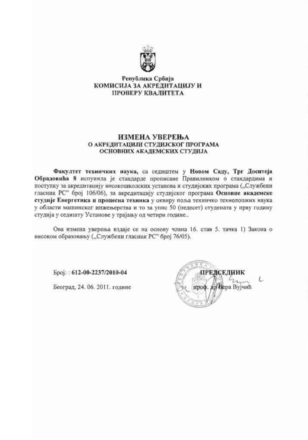

### Република Србија КОМИСИЈА ЗА АКРЕДИТАЦИЈУ И ПРОВЕРУ КВАЛИТЕТА

#### ИЗМЕНА УВЕРЕЊА О АКРЕДИТАЦИЈИ СТУДИЈСКОГ ПРОГРАМА ОСНОВНИХ АКАДЕМСКИХ СТУДИЈА

Факултет техничких наука, са седиштем у Новом Саду, Трг Доситеја Обрадовића 8 испунила је стандарде прописане Правилником о стандардима и поступку за акредитацију високошколских установа и студијских програма ("Службени гласник РС" број 106/06), за акредитацију студијског програма Основне академске студије Енергетика и процесна техника у оквиру поља техничко технолошких наука у области машинског инжењерства и то за упис 50 (педесет) студената у прву годину студија у седишту Установе у трајању од четири године...

Ова измена уверења издаје се на основу члана 16. став 5. тачка 1) Закона о високом образовању ("Службени гласник РС" број 76/05).

Број.: 612-00-2237/2010-04

Београд, 24. 06. 2011. године

ЕЛСЕЛИИК Bepa Вујчић